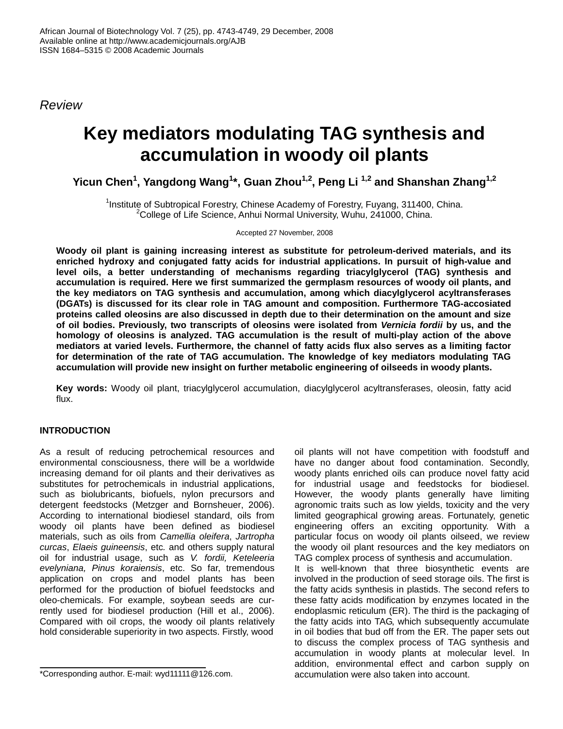*Review* 

# **Key mediators modulating TAG synthesis and accumulation in woody oil plants**

**Yicun Chen<sup>1</sup> , Yangdong Wang<sup>1</sup> \*, Guan Zhou1,2, Peng Li 1,2 and Shanshan Zhang1,2**

<sup>1</sup>Institute of Subtropical Forestry, Chinese Academy of Forestry, Fuyang, 311400, China.  $2$ College of Life Science, Anhui Normal University, Wuhu, 241000, China.

Accepted 27 November, 2008

**Woody oil plant is gaining increasing interest as substitute for petroleum-derived materials, and its enriched hydroxy and conjugated fatty acids for industrial applications. In pursuit of high-value and level oils, a better understanding of mechanisms regarding triacylglycerol (TAG) synthesis and accumulation is required. Here we first summarized the germplasm resources of woody oil plants, and the key mediators on TAG synthesis and accumulation, among which diacylglycerol acyltransferases (DGATs) is discussed for its clear role in TAG amount and composition. Furthermore TAG-accosiated proteins called oleosins are also discussed in depth due to their determination on the amount and size of oil bodies. Previously, two transcripts of oleosins were isolated from** *Vernicia fordii* **by us, and the homology of oleosins is analyzed. TAG accumulation is the result of multi-play action of the above mediators at varied levels. Furthermore, the channel of fatty acids flux also serves as a limiting factor for determination of the rate of TAG accumulation. The knowledge of key mediators modulating TAG accumulation will provide new insight on further metabolic engineering of oilseeds in woody plants.** 

**Key words:** Woody oil plant, triacylglycerol accumulation, diacylglycerol acyltransferases, oleosin, fatty acid flux.

## **INTRODUCTION**

As a result of reducing petrochemical resources and environmental consciousness, there will be a worldwide increasing demand for oil plants and their derivatives as substitutes for petrochemicals in industrial applications, such as biolubricants, biofuels, nylon precursors and detergent feedstocks (Metzger and Bornsheuer, 2006). According to international biodiesel standard, oils from woody oil plants have been defined as biodiesel materials, such as oils from *Camellia oleifera*, *Jartropha curcas*, *Elaeis guineensis*, etc*.* and others supply natural oil for industrial usage, such as *V. fordii, Keteleeria evelyniana, Pinus koraiensis*, etc. So far, tremendous application on crops and model plants has been performed for the production of biofuel feedstocks and oleo-chemicals. For example, soybean seeds are currently used for biodiesel production (Hill et al., 2006). Compared with oil crops, the woody oil plants relatively hold considerable superiority in two aspects. Firstly, wood

\*Corresponding author. E-mail: wyd11111@126.com.

oil plants will not have competition with foodstuff and have no danger about food contamination. Secondly, woody plants enriched oils can produce novel fatty acid for industrial usage and feedstocks for biodiesel. However, the woody plants generally have limiting agronomic traits such as low yields, toxicity and the very limited geographical growing areas. Fortunately, genetic engineering offers an exciting opportunity. With a particular focus on woody oil plants oilseed, we review the woody oil plant resources and the key mediators on TAG complex process of synthesis and accumulation. It is well-known that three biosynthetic events are involved in the production of seed storage oils. The first is the fatty acids synthesis in plastids. The second refers to these fatty acids modification by enzymes located in the endoplasmic reticulum (ER). The third is the packaging of the fatty acids into TAG, which subsequently accumulate in oil bodies that bud off from the ER. The paper sets out to discuss the complex process of TAG synthesis and accumulation in woody plants at molecular level. In

addition, environmental effect and carbon supply on accumulation were also taken into account.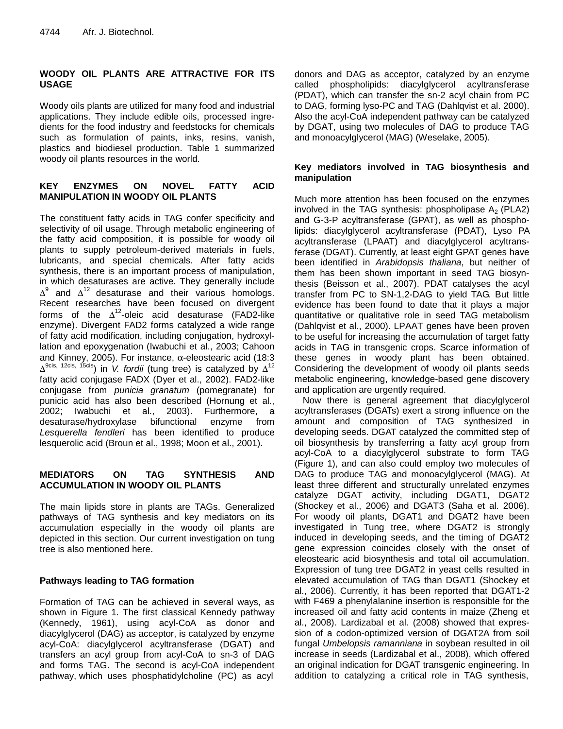## **WOODY OIL PLANTS ARE ATTRACTIVE FOR ITS USAGE**

Woody oils plants are utilized for many food and industrial applications. They include edible oils, processed ingredients for the food industry and feedstocks for chemicals such as formulation of paints, inks, resins, vanish, plastics and biodiesel production. Table 1 summarized woody oil plants resources in the world.

## **KEY ENZYMES ON NOVEL FATTY ACID MANIPULATION IN WOODY OIL PLANTS**

The constituent fatty acids in TAG confer specificity and selectivity of oil usage. Through metabolic engineering of the fatty acid composition, it is possible for woody oil plants to supply petroleum-derived materials in fuels, lubricants, and special chemicals. After fatty acids synthesis, there is an important process of manipulation, in which desaturases are active. They generally include  $\Delta^9$  and  $\Delta^{12}$  desaturase and their various homologs. Recent researches have been focused on divergent forms of the  $\Delta^{12}$ -oleic acid desaturase (FAD2-like enzyme). Divergent FAD2 forms catalyzed a wide range of fatty acid modification, including conjugation, hydroxyllation and epoxygenation (Iwabuchi et al., 2003; Cahoon and Kinney, 2005). For instance,  $\alpha$ -eleostearic acid (18:3)  $\Delta^{9}$ <sup>cis, 12cis, 15cis</sup>) in *V. fordii* (tung tree) is catalyzed by  $\Delta^{12}$ fatty acid conjugase FADX (Dyer et al., 2002). FAD2-like conjugase from *punicia granatum* (pomegranate) for punicic acid has also been described (Hornung et al., 2002; Iwabuchi et al., 2003). Furthermore, a desaturase/hydroxylase bifunctional enzyme from *Lesquerella fendleri* has been identified to produce lesquerolic acid (Broun et al., 1998; Moon et al., 2001).

## **MEDIATORS ON TAG SYNTHESIS AND ACCUMULATION IN WOODY OIL PLANTS**

The main lipids store in plants are TAGs. Generalized pathways of TAG synthesis and key mediators on its accumulation especially in the woody oil plants are depicted in this section. Our current investigation on tung tree is also mentioned here.

## **Pathways leading to TAG formation**

Formation of TAG can be achieved in several ways, as shown in Figure 1. The first classical Kennedy pathway (Kennedy, 1961), using acyl-CoA as donor and diacylglycerol (DAG) as acceptor, is catalyzed by enzyme acyl-CoA: diacylglycerol acyltransferase (DGAT) and transfers an acyl group from acyl-CoA to sn-3 of DAG and forms TAG. The second is acyl-CoA independent pathway, which uses phosphatidylcholine (PC) as acyl

donors and DAG as acceptor, catalyzed by an enzyme called phospholipids: diacylglycerol acyltransferase (PDAT), which can transfer the sn-2 acyl chain from PC to DAG, forming lyso-PC and TAG (Dahlqvist et al. 2000). Also the acyl-CoA independent pathway can be catalyzed by DGAT, using two molecules of DAG to produce TAG and monoacylglycerol (MAG) (Weselake, 2005).

#### **Key mediators involved in TAG biosynthesis and manipulation**

Much more attention has been focused on the enzymes involved in the TAG synthesis: phospholipase  $A_2$  (PLA2) and G-3-P acyltransferase (GPAT), as well as phospholipids: diacylglycerol acyltransferase (PDAT), Lyso PA acyltransferase (LPAAT) and diacylglycerol acyltransferase (DGAT). Currently, at least eight GPAT genes have been identified in *Arabidopsis thaliana*, but neither of them has been shown important in seed TAG biosynthesis (Beisson et al., 2007). PDAT catalyses the acyl transfer from PC to SN-1,2-DAG to yield TAG. But little evidence has been found to date that it plays a major quantitative or qualitative role in seed TAG metabolism (Dahlqvist et al., 2000). LPAAT genes have been proven to be useful for increasing the accumulation of target fatty acids in TAG in transgenic crops. Scarce information of these genes in woody plant has been obtained. Considering the development of woody oil plants seeds metabolic engineering, knowledge-based gene discovery and application are urgently required.

Now there is general agreement that diacylglycerol acyltransferases (DGATs) exert a strong influence on the amount and composition of TAG synthesized in developing seeds. DGAT catalyzed the committed step of oil biosynthesis by transferring a fatty acyl group from acyl-CoA to a diacylglycerol substrate to form TAG (Figure 1), and can also could employ two molecules of DAG to produce TAG and monoacylglycerol (MAG). At least three different and structurally unrelated enzymes catalyze DGAT activity, including DGAT1, DGAT2 (Shockey et al., 2006) and DGAT3 (Saha et al. 2006). For woody oil plants, DGAT1 and DGAT2 have been investigated in Tung tree, where DGAT2 is strongly induced in developing seeds, and the timing of DGAT2 gene expression coincides closely with the onset of eleostearic acid biosynthesis and total oil accumulation. Expression of tung tree DGAT2 in yeast cells resulted in elevated accumulation of TAG than DGAT1 (Shockey et al., 2006). Currently, it has been reported that DGAT1-2 with F469 a phenylalanine insertion is responsible for the increased oil and fatty acid contents in maize (Zheng et al., 2008). Lardizabal et al. (2008) showed that expression of a codon-optimized version of DGAT2A from soil fungal *Umbelopsis ramanniana* in soybean resulted in oil increase in seeds (Lardizabal et al., 2008), which offered an original indication for DGAT transgenic engineering. In addition to catalyzing a critical role in TAG synthesis,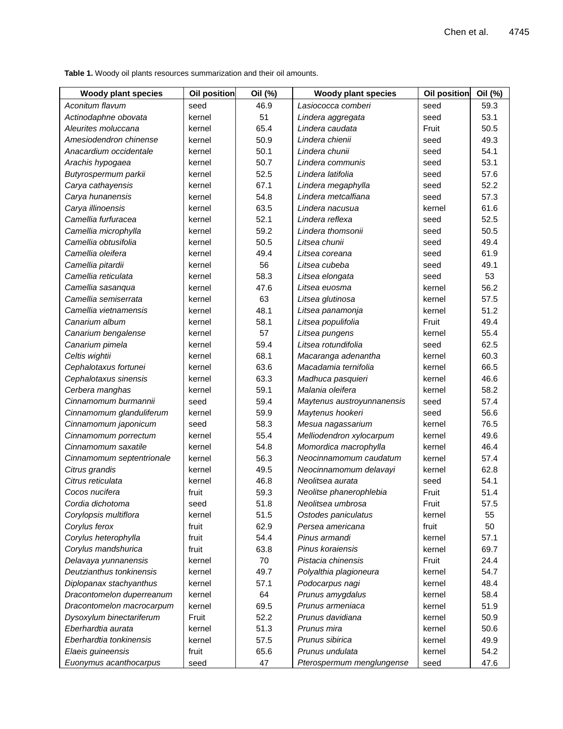**Table 1.** Woody oil plants resources summarization and their oil amounts.

| <b>Woody plant species</b> | <b>Oil position</b> | Oil (%) | <b>Woody plant species</b> | <b>Oil position</b> | Oil (%) |
|----------------------------|---------------------|---------|----------------------------|---------------------|---------|
| Aconitum flavum            | seed                | 46.9    | Lasiococca comberi         | seed                | 59.3    |
| Actinodaphne obovata       | kernel              | 51      | Lindera aggregata          | seed                | 53.1    |
| Aleurites moluccana        | kernel              | 65.4    | Lindera caudata            | Fruit               | 50.5    |
| Amesiodendron chinense     | kernel              | 50.9    | Lindera chienii            | seed                | 49.3    |
| Anacardium occidentale     | kernel              | 50.1    | Lindera chunii             | seed                | 54.1    |
| Arachis hypogaea           | kernel              | 50.7    | Lindera communis           | seed                | 53.1    |
| Butyrospermum parkii       | kernel              | 52.5    | Lindera latifolia          | seed                | 57.6    |
| Carya cathayensis          | kernel              | 67.1    | Lindera megaphylla         | seed                | 52.2    |
| Carya hunanensis           | kernel              | 54.8    | Lindera metcalfiana        | seed                | 57.3    |
| Carya illinoensis          | kernel              | 63.5    | Lindera nacusua            | kernel              | 61.6    |
| Camellia furfuracea        | kernel              | 52.1    | Lindera reflexa            | seed                | 52.5    |
| Camellia microphylla       | kernel              | 59.2    | Lindera thomsonii          | seed                | 50.5    |
| Camellia obtusifolia       | kernel              | 50.5    | Litsea chunii              | seed                | 49.4    |
| Camellia oleifera          | kernel              | 49.4    | Litsea coreana             | seed                | 61.9    |
| Camellia pitardii          | kernel              | 56      | Litsea cubeba              | seed                | 49.1    |
| Camellia reticulata        | kernel              | 58.3    | Litsea elongata            | seed                | 53      |
| Camellia sasanqua          | kernel              | 47.6    | Litsea euosma              | kernel              | 56.2    |
| Camellia semiserrata       | kernel              | 63      | Litsea glutinosa           | kernel              | 57.5    |
| Camellia vietnamensis      | kernel              | 48.1    | Litsea panamonja           | kernel              | 51.2    |
| Canarium album             | kernel              | 58.1    | Litsea populifolia         | Fruit               | 49.4    |
| Canarium bengalense        | kernel              | 57      | Litsea pungens             | kernel              | 55.4    |
| Canarium pimela            | kernel              | 59.4    | Litsea rotundifolia        | seed                | 62.5    |
| Celtis wightii             | kernel              | 68.1    | Macaranga adenantha        | kernel              | 60.3    |
| Cephalotaxus fortunei      | kernel              | 63.6    | Macadamia ternifolia       | kernel              | 66.5    |
| Cephalotaxus sinensis      | kernel              | 63.3    | Madhuca pasquieri          | kernel              | 46.6    |
| Cerbera manghas            | kernel              | 59.1    | Malania oleifera           | kernel              | 58.2    |
| Cinnamomum burmannii       | seed                | 59.4    | Maytenus austroyunnanensis | seed                | 57.4    |
| Cinnamomum glanduliferum   | kernel              | 59.9    | Maytenus hookeri           | seed                | 56.6    |
| Cinnamomum japonicum       | seed                | 58.3    | Mesua nagassarium          | kernel              | 76.5    |
| Cinnamomum porrectum       | kernel              | 55.4    | Melliodendron xylocarpum   | kernel              | 49.6    |
| Cinnamomum saxatile        | kernel              | 54.8    | Momordica macrophylla      | kernel              | 46.4    |
| Cinnamomum septentrionale  | kernel              | 56.3    | Neocinnamomum caudatum     | kernel              | 57.4    |
| Citrus grandis             | kernel              | 49.5    | Neocinnamomum delavayi     | kernel              | 62.8    |
| Citrus reticulata          | kernel              | 46.8    | Neolitsea aurata           | seed                | 54.1    |
| Cocos nucifera             | fruit               | 59.3    | Neolitse phanerophlebia    | Fruit               | 51.4    |
| Cordia dichotoma           | seed                | 51.8    | Neolitsea umbrosa          | Fruit               | 57.5    |
| Corylopsis multiflora      | kernel              | 51.5    | Ostodes paniculatus        | kernel              | 55      |
| Corylus ferox              | fruit               | 62.9    | Persea americana           | fruit               | 50      |
| Corylus heterophylla       | fruit               | 54.4    | Pinus armandi              | kernel              | 57.1    |
| Corylus mandshurica        | fruit               | 63.8    | Pinus koraiensis           | kernel              | 69.7    |
| Delavaya yunnanensis       | kernel              | 70      | Pistacia chinensis         | Fruit               | 24.4    |
| Deutzianthus tonkinensis   | kernel              | 49.7    | Polyalthia plagioneura     | kernel              | 54.7    |
| Diplopanax stachyanthus    | kernel              | 57.1    | Podocarpus nagi            | kernel              | 48.4    |
| Dracontomelon duperreanum  | kernel              | 64      | Prunus amygdalus           | kernel              | 58.4    |
| Dracontomelon macrocarpum  | kernel              | 69.5    | Prunus armeniaca           | kernel              | 51.9    |
| Dysoxylum binectariferum   | Fruit               | 52.2    | Prunus davidiana           | kernel              | 50.9    |
| Eberhardtia aurata         | kernel              | 51.3    | Prunus mira                | kernel              | 50.6    |
| Eberhardtia tonkinensis    | kernel              | 57.5    | Prunus sibirica            | kernel              | 49.9    |
| Elaeis guineensis          | fruit               | 65.6    | Prunus undulata            | kernel              | 54.2    |
| Euonymus acanthocarpus     | seed                | 47      | Pterospermum menglungense  | seed                | 47.6    |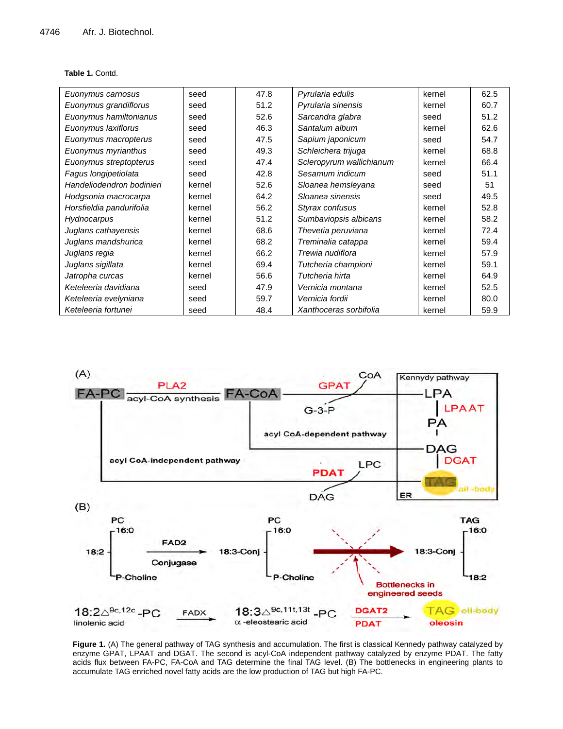#### **Table 1.** Contd.

| Euonymus carnosus         | seed   | 47.8 | Pyrularia edulis         | kernel | 62.5 |
|---------------------------|--------|------|--------------------------|--------|------|
| Euonymus grandiflorus     | seed   | 51.2 | Pyrularia sinensis       | kernel | 60.7 |
| Euonymus hamiltonianus    | seed   | 52.6 | Sarcandra glabra         | seed   | 51.2 |
| Euonymus laxiflorus       | seed   | 46.3 | Santalum album           | kernel | 62.6 |
| Euonymus macropterus      | seed   | 47.5 | Sapium japonicum         | seed   | 54.7 |
| Euonymus myrianthus       | seed   | 49.3 | Schleichera trijuga      | kernel | 68.8 |
| Euonymus streptopterus    | seed   | 47.4 | Scleropyrum wallichianum | kernel | 66.4 |
| Fagus longipetiolata      | seed   | 42.8 | Sesamum indicum          | seed   | 51.1 |
| Handeliodendron bodinieri | kernel | 52.6 | Sloanea hemsleyana       | seed   | 51   |
| Hodgsonia macrocarpa      | kernel | 64.2 | Sloanea sinensis         | seed   | 49.5 |
| Horsfieldia pandurifolia  | kernel | 56.2 | Styrax confusus          | kernel | 52.8 |
| Hydnocarpus               | kernel | 51.2 | Sumbaviopsis albicans    | kernel | 58.2 |
| Juglans cathayensis       | kernel | 68.6 | Thevetia peruviana       | kernel | 72.4 |
| Juglans mandshurica       | kernel | 68.2 | Treminalia catappa       | kernel | 59.4 |
| Juglans regia             | kernel | 66.2 | Trewia nudiflora         | kernel | 57.9 |
| Juglans sigillata         | kernel | 69.4 | Tutcheria championi      | kernel | 59.1 |
| Jatropha curcas           | kernel | 56.6 | Tutcheria hirta          | kernel | 64.9 |
| Keteleeria davidiana      | seed   | 47.9 | Vernicia montana         | kernel | 52.5 |
| Keteleeria evelyniana     | seed   | 59.7 | Vernicia fordii          | kernel | 80.0 |
| Keteleeria fortunei       | seed   | 48.4 | Xanthoceras sorbifolia   | kernel | 59.9 |



**Figure 1.** (A) The general pathway of TAG synthesis and accumulation. The first is classical Kennedy pathway catalyzed by enzyme GPAT, LPAAT and DGAT. The second is acyl-CoA independent pathway catalyzed by enzyme PDAT. The fatty acids flux between FA-PC, FA-CoA and TAG determine the final TAG level. (B) The bottlenecks in engineering plants to accumulate TAG enriched novel fatty acids are the low production of TAG but high FA-PC.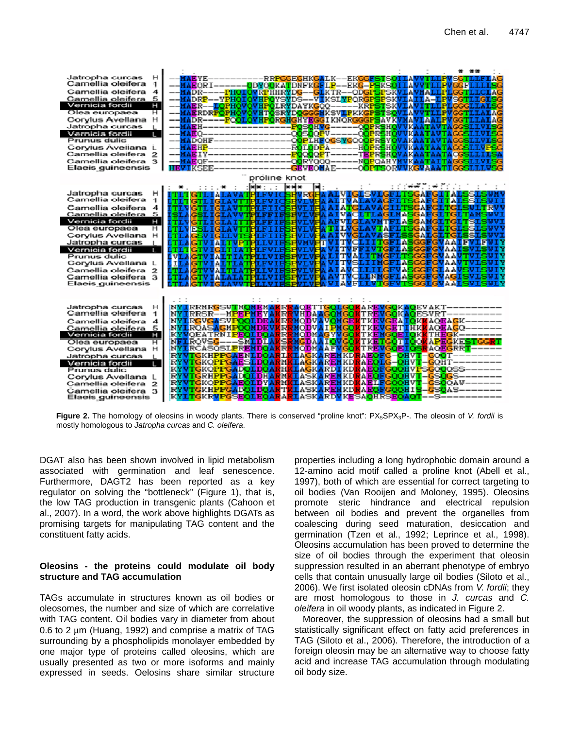

**Figure 2.** The homology of oleosins in woody plants. There is conserved "proline knot": PX<sub>5</sub>SPX<sub>3</sub>P-. The oleosin of *V. fordii* is mostly homologous to *Jatropha curcas* and *C. oleifera*.

DGAT also has been shown involved in lipid metabolism associated with germination and leaf senescence. Furthermore, DAGT2 has been reported as a key regulator on solving the "bottleneck" (Figure 1), that is, the low TAG production in transgenic plants (Cahoon et al., 2007). In a word, the work above highlights DGATs as promising targets for manipulating TAG content and the constituent fatty acids.

#### **Oleosins - the proteins could modulate oil body structure and TAG accumulation**

TAGs accumulate in structures known as oil bodies or oleosomes, the number and size of which are correlative with TAG content. Oil bodies vary in diameter from about 0.6 to 2 µm (Huang, 1992) and comprise a matrix of TAG surrounding by a phospholipids monolayer embedded by one major type of proteins called oleosins, which are usually presented as two or more isoforms and mainly expressed in seeds. Oelosins share similar structure properties including a long hydrophobic domain around a 12-amino acid motif called a proline knot (Abell et al., 1997), both of which are essential for correct targeting to oil bodies (Van Rooijen and Moloney, 1995). Oleosins promote steric hindrance and electrical repulsion between oil bodies and prevent the organelles from coalescing during seed maturation, desiccation and germination (Tzen et al., 1992; Leprince et al., 1998). Oleosins accumulation has been proved to determine the size of oil bodies through the experiment that oleosin suppression resulted in an aberrant phenotype of embryo cells that contain unusually large oil bodies (Siloto et al., 2006). We first isolated oleosin cDNAs from *V. fordii*; they are most homologous to those in *J. curcas* and *C. oleifera* in oil woody plants, as indicated in Figure 2.

Moreover, the suppression of oleosins had a small but statistically significant effect on fatty acid preferences in TAG (Siloto et al., 2006). Therefore, the introduction of a foreign oleosin may be an alternative way to choose fatty acid and increase TAG accumulation through modulating oil body size.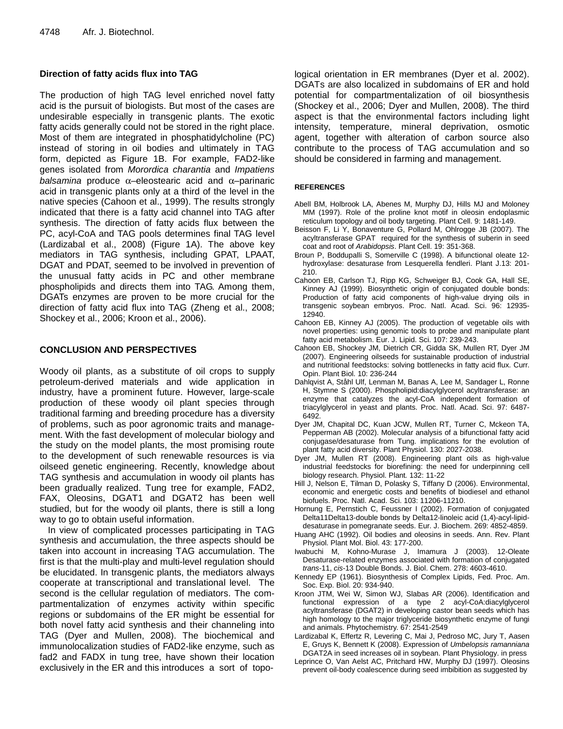#### **Direction of fatty acids flux into TAG**

The production of high TAG level enriched novel fatty acid is the pursuit of biologists. But most of the cases are undesirable especially in transgenic plants. The exotic fatty acids generally could not be stored in the right place. Most of them are integrated in phosphatidylcholine (PC) instead of storing in oil bodies and ultimately in TAG form, depicted as Figure 1B. For example, FAD2-like genes isolated from *Morordica charantia* and *Impatiens balsamina* produce α–eleostearic acid and α–parinaric acid in transgenic plants only at a third of the level in the native species (Cahoon et al., 1999). The results strongly indicated that there is a fatty acid channel into TAG after synthesis. The direction of fatty acids flux between the PC, acyl-CoA and TAG pools determines final TAG level (Lardizabal et al., 2008) (Figure 1A). The above key mediators in TAG synthesis, including GPAT, LPAAT, DGAT and PDAT, seemed to be involved in prevention of the unusual fatty acids in PC and other membrane phospholipids and directs them into TAG. Among them, DGATs enzymes are proven to be more crucial for the direction of fatty acid flux into TAG (Zheng et al., 2008; Shockey et al., 2006; Kroon et al., 2006).

### **CONCLUSION AND PERSPECTIVES**

Woody oil plants, as a substitute of oil crops to supply petroleum-derived materials and wide application in industry, have a prominent future. However, large-scale production of these woody oil plant species through traditional farming and breeding procedure has a diversity of problems, such as poor agronomic traits and management. With the fast development of molecular biology and the study on the model plants, the most promising route to the development of such renewable resources is via oilseed genetic engineering. Recently, knowledge about TAG synthesis and accumulation in woody oil plants has been gradually realized. Tung tree for example, FAD2, FAX, Oleosins, DGAT1 and DGAT2 has been well studied, but for the woody oil plants, there is still a long way to go to obtain useful information.

In view of complicated processes participating in TAG synthesis and accumulation, the three aspects should be taken into account in increasing TAG accumulation. The first is that the multi-play and multi-level regulation should be elucidated. In transgenic plants, the mediators always cooperate at transcriptional and translational level. The second is the cellular regulation of mediators. The compartmentalization of enzymes activity within specific regions or subdomains of the ER might be essential for both novel fatty acid synthesis and their channeling into TAG (Dyer and Mullen, 2008). The biochemical and immunolocalization studies of FAD2-like enzyme, such as fad2 and FADX in tung tree, have shown their location exclusively in the ER and this introduces a sort of topological orientation in ER membranes (Dyer et al. 2002). DGATs are also localized in subdomains of ER and hold potential for compartmentalization of oil biosynthesis (Shockey et al., 2006; Dyer and Mullen, 2008). The third aspect is that the environmental factors including light intensity, temperature, mineral deprivation, osmotic agent, together with alteration of carbon source also contribute to the process of TAG accumulation and so should be considered in farming and management.

#### **REFERENCES**

- Abell BM, Holbrook LA, Abenes M, Murphy DJ, Hills MJ and Moloney MM (1997). Role of the proline knot motif in oleosin endoplasmic reticulum topology and oil body targeting. Plant Cell. 9: 1481-149.
- Beisson F, Li Y, Bonaventure G, Pollard M, Ohlrogge JB (2007). The acyltransferase GPAT required for the synthesis of suberin in seed coat and root of *Arabidopsis*. Plant Cell. 19: 351-368.
- Broun P, Boddupalli S, Somerville C (1998). A bifunctional oleate 12 hydroxylase: desaturase from Lesquerella fendleri. Plant J.13: 201- 210.
- Cahoon EB, Carlson TJ, Ripp KG, Schweiger BJ, Cook GA, Hall SE, Kinney AJ (1999). Biosynthetic origin of conjugated double bonds: Production of fatty acid components of high-value drying oils in transgenic soybean embryos. Proc. Natl. Acad. Sci. 96: 12935- 12940.
- Cahoon EB, Kinney AJ (2005). The production of vegetable oils with novel properties: using genomic tools to probe and manipulate plant fatty acid metabolism. Eur. J. Lipid. Sci. 107: 239-243.
- Cahoon EB, Shockey JM, Dietrich CR, Gidda SK, Mullen RT, Dyer JM (2007). Engineering oilseeds for sustainable production of industrial and nutritional feedstocks: solving bottlenecks in fatty acid flux. Curr. Opin. Plant Biol. 10: 236-244
- Dahlqvist A, Ståhl Ulf, Lenman M, Banas A, Lee M, Sandager L, Ronne H, Stymne S (2000). Phospholipid:diacylglycerol acyltransferase: an enzyme that catalyzes the acyl-CoA independent formation of triacylglycerol in yeast and plants. Proc. Natl. Acad. Sci. 97: 6487- 6492.
- Dyer JM, Chapital DC, Kuan JCW, Mullen RT, Turner C, Mckeon TA, Pepperman AB (2002). Molecular analysis of a bifunctional fatty acid conjugase/desaturase from Tung. implications for the evolution of plant fatty acid diversity. Plant Physiol. 130: 2027-2038.
- Dyer JM, Mullen RT (2008). Engineering plant oils as high-value industrial feedstocks for biorefining: the need for underpinning cell biology research. Physiol. Plant*.* 132: 11-22
- Hill J, Nelson E, Tilman D, Polasky S, Tiffany D (2006). Environmental, economic and energetic costs and benefits of biodiesel and ethanol biofuels. Proc. Natl. Acad. Sci. 103: 11206-11210.
- Hornung E, Pernstich C, Feussner I (2002). Formation of conjugated Delta11Delta13-double bonds by Delta12-linoleic acid (1,4)-acyl-lipiddesaturase in pomegranate seeds. Eur. J. Biochem. 269: 4852-4859.
- Huang AHC (1992). Oil bodies and oleosins in seeds. Ann. Rev. Plant Physiol. Plant Mol. Biol. 43: 177-200.
- Iwabuchi M, Kohno-Murase J, Imamura J (2003). 12-Oleate Desaturase-related enzymes associated with formation of conjugated *trans*-11, *cis*-13 Double Bonds. J. Biol. Chem. 278: 4603-4610.
- Kennedy EP (1961). Biosynthesis of Complex Lipids, Fed. Proc. Am. Soc. Exp. Biol. 20: 934-940.
- Kroon JTM, Wei W, Simon WJ, Slabas AR (2006). Identification and functional expression of a type 2 acyl-CoA:diacylglycerol acyltransferase (DGAT2) in developing castor bean seeds which has high homology to the major triglyceride biosynthetic enzyme of fungi and animals. Phytochemistry. 67: 2541-2549
- Lardizabal K, Effertz R, Levering C, Mai J, Pedroso MC, Jury T, Aasen E, Gruys K, Bennett K (2008). Expression of *Umbelopsis ramanniana* DGAT2A in seed increases oil in soybean. Plant Physiology. in press
- Leprince O, Van Aelst AC, Pritchard HW, Murphy DJ (1997). Oleosins prevent oil-body coalescence during seed imbibition as suggested by